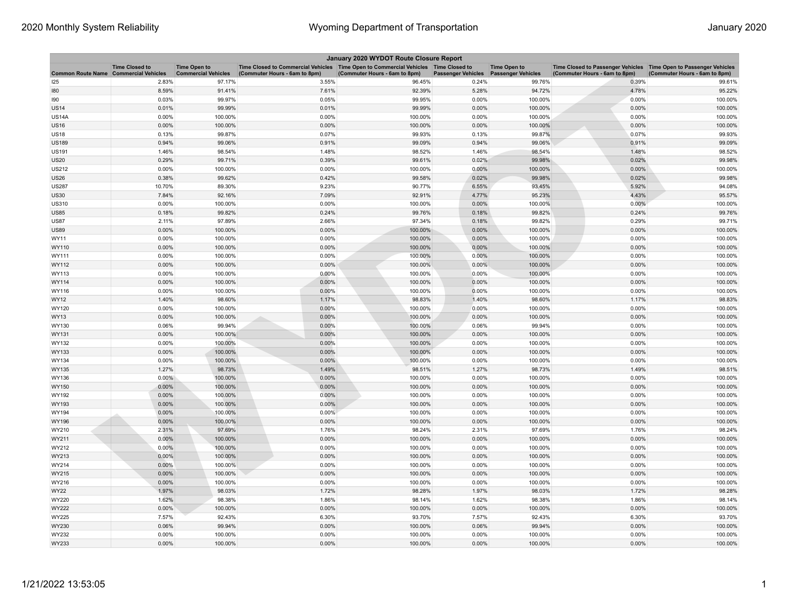| January 2020 WYDOT Route Closure Report      |                       |                                                   |                                                                                                                       |                               |                           |                                                  |                                                                                                    |                               |  |
|----------------------------------------------|-----------------------|---------------------------------------------------|-----------------------------------------------------------------------------------------------------------------------|-------------------------------|---------------------------|--------------------------------------------------|----------------------------------------------------------------------------------------------------|-------------------------------|--|
| <b>Common Route Name Commercial Vehicles</b> | <b>Time Closed to</b> | <b>Time Open to</b><br><b>Commercial Vehicles</b> | Time Closed to Commercial Vehicles  Time Open to Commercial Vehicles  Time Closed to<br>(Commuter Hours - 6am to 8pm) | (Commuter Hours - 6am to 8pm) | <b>Passenger Vehicles</b> | <b>Time Open to</b><br><b>Passenger Vehicles</b> | Time Closed to Passenger Vehicles Time Open to Passenger Vehicles<br>(Commuter Hours - 6am to 8pm) | (Commuter Hours - 6am to 8pm) |  |
| 125                                          | 2.83%                 | 97.17%                                            | 3.55%                                                                                                                 | 96.45%                        | 0.24%                     | 99.76%                                           | 0.39%                                                                                              | 99.61%                        |  |
| 180                                          | 8.59%                 | 91.41%                                            | 7.61%                                                                                                                 | 92.39%                        | 5.28%                     | 94.72%                                           | 4.78%                                                                                              | 95.22%                        |  |
| 190                                          | 0.03%                 | 99.97%                                            | 0.05%                                                                                                                 | 99.95%                        | 0.00%                     | 100.00%                                          | 0.00%                                                                                              | 100.00%                       |  |
| <b>US14</b>                                  | 0.01%                 | 99.99%                                            | 0.01%                                                                                                                 | 99.99%                        | 0.00%                     | 100.00%                                          | 0.00%                                                                                              | 100.00%                       |  |
| <b>US14A</b>                                 | 0.00%                 | 100.00%                                           | 0.00%                                                                                                                 | 100.00%                       | 0.00%                     | 100.00%                                          | 0.00%                                                                                              | 100.00%                       |  |
| <b>US16</b>                                  | 0.00%                 | 100.00%                                           | 0.00%                                                                                                                 | 100.00%                       | 0.00%                     | 100.00%                                          | 0.00%                                                                                              | 100.00%                       |  |
| <b>US18</b>                                  | 0.13%                 | 99.87%                                            | 0.07%                                                                                                                 | 99.93%                        | 0.13%                     | 99.87%                                           | 0.07%                                                                                              | 99.93%                        |  |
| <b>US189</b>                                 | 0.94%                 | 99.06%                                            | 0.91%                                                                                                                 | 99.09%                        | 0.94%                     | 99.06%                                           | 0.91%                                                                                              | 99.09%                        |  |
| <b>US191</b>                                 | 1.46%                 | 98.54%                                            | 1.48%                                                                                                                 | 98.52%                        | 1.46%                     | 98.54%                                           | 1.48%                                                                                              | 98.52%                        |  |
| US20                                         | 0.29%                 | 99.71%                                            | 0.39%                                                                                                                 | 99.61%                        | 0.02%                     | 99.98%                                           | 0.02%                                                                                              | 99.98%                        |  |
| US212                                        | 0.00%                 | 100.00%                                           | 0.00%                                                                                                                 | 100.00%                       | 0.00%                     | 100.00%                                          | 0.00%                                                                                              | 100.00%                       |  |
| <b>US26</b>                                  | 0.38%                 | 99.62%                                            | 0.42%                                                                                                                 | 99.58%                        | 0.02%                     | 99.98%                                           | 0.02%                                                                                              | 99.98%                        |  |
| <b>US287</b>                                 | 10.70%                | 89.30%                                            | 9.23%                                                                                                                 | 90.77%                        | 6.55%                     | 93.45%                                           | 5.92%                                                                                              | 94.08%                        |  |
| US30                                         | 7.84%                 | 92.16%                                            | 7.09%                                                                                                                 | 92.91%                        | 4.77%                     | 95.23%                                           | 4.43%                                                                                              | 95.57%                        |  |
| <b>US310</b>                                 | 0.00%                 | 100.00%                                           | 0.00%                                                                                                                 | 100.00%                       | 0.00%                     | 100.00%                                          | 0.00%                                                                                              | 100.00%                       |  |
| <b>US85</b>                                  | 0.18%                 | 99.82%                                            | 0.24%                                                                                                                 | 99.76%                        | 0.18%                     | 99.82%                                           | 0.24%                                                                                              | 99.76%                        |  |
| <b>US87</b>                                  | 2.11%                 | 97.89%                                            | 2.66%                                                                                                                 | 97.34%                        | 0.18%                     | 99.82%                                           | 0.29%                                                                                              | 99.71%                        |  |
| <b>US89</b>                                  | 0.00%                 | 100.00%                                           | 0.00%                                                                                                                 | 100.00%                       | 0.00%                     | 100.00%                                          | 0.00%                                                                                              | 100.00%                       |  |
| WY11                                         | 0.00%                 | 100.00%                                           | 0.00%                                                                                                                 | 100.00%                       | 0.00%                     | 100.00%                                          | 0.00%                                                                                              | 100.00%                       |  |
| WY110                                        | 0.00%                 | 100.00%                                           | 0.00%                                                                                                                 | 100.00%                       | 0.00%                     | 100.00%                                          | 0.00%                                                                                              | 100.00%                       |  |
| WY111                                        | 0.00%                 | 100.00%                                           | 0.00%                                                                                                                 | 100.00%                       | 0.00%                     | 100.00%                                          | 0.00%                                                                                              | 100.00%                       |  |
| WY112                                        | 0.00%                 | 100.00%                                           | 0.00%                                                                                                                 | 100.00%                       | 0.00%                     | 100.00%                                          | 0.00%                                                                                              | 100.00%                       |  |
| WY113                                        | 0.00%                 | 100.00%                                           | 0.00%                                                                                                                 | 100.00%                       | 0.00%                     | 100.00%                                          | 0.00%                                                                                              | 100.00%                       |  |
| WY114                                        | 0.00%                 | 100.00%                                           | 0.00%                                                                                                                 | 100.00%                       | 0.00%                     | 100.00%                                          | 0.00%                                                                                              | 100.00%                       |  |
| WY116                                        | 0.00%                 | 100.00%                                           | 0.00%                                                                                                                 | 100.00%                       | 0.00%                     | 100.00%                                          | 0.00%                                                                                              | 100.00%                       |  |
| WY12                                         | 1.40%                 | 98.60%                                            | 1.17%                                                                                                                 | 98.83%                        | 1.40%                     | 98.60%                                           | 1.17%                                                                                              | 98.83%                        |  |
| WY120                                        | 0.00%                 | 100.00%                                           | 0.00%                                                                                                                 | 100.00%                       | 0.00%                     | 100.00%                                          | 0.00%                                                                                              | 100.00%                       |  |
| WY13                                         | 0.00%                 | 100.00%                                           | 0.00%                                                                                                                 | 100.00%                       | 0.00%                     | 100.00%                                          | 0.00%                                                                                              | 100.00%                       |  |
| WY130                                        | 0.06%                 | 99.94%                                            | 0.00%                                                                                                                 | 100.00%                       | 0.06%                     | 99.94%                                           | 0.00%                                                                                              | 100.00%                       |  |
| WY131                                        | 0.00%                 | 100.00%                                           | 0.00%                                                                                                                 | 100.00%                       | 0.00%                     | 100.00%                                          | 0.00%                                                                                              | 100.00%                       |  |
| WY132                                        | 0.00%                 | 100.00%                                           | 0.00%                                                                                                                 | 100.00%                       | 0.00%                     | 100.00%                                          | 0.00%                                                                                              | 100.00%                       |  |
| WY133                                        | 0.00%                 | 100.00%                                           | 0.00%                                                                                                                 | 100.00%                       | 0.00%                     | 100.00%                                          | 0.00%                                                                                              | 100.00%                       |  |
| WY134                                        | 0.00%                 | 100.00%                                           | 0.00%                                                                                                                 | 100.00%                       | 0.00%                     | 100.00%                                          | 0.00%                                                                                              | 100.00%                       |  |
| WY135                                        | 1.27%                 | 98.73%                                            | 1.49%                                                                                                                 | 98.51%                        | 1.27%                     | 98.73%                                           | 1.49%                                                                                              | 98.51%                        |  |
| WY136                                        | $0.00\%$              | 100.00%                                           | 0.00%                                                                                                                 | 100.00%                       | 0.00%                     | 100.00%                                          | 0.00%                                                                                              | 100.00%                       |  |
| WY150                                        | 0.00%                 | 100.00%                                           | 0.00%                                                                                                                 | 100.00%                       | 0.00%                     | 100.00%                                          | 0.00%                                                                                              | 100.00%                       |  |
| WY192                                        | 0.00%                 | 100.00%                                           | 0.00%                                                                                                                 | 100.00%                       | 0.00%                     | 100.00%                                          | 0.00%                                                                                              | 100.00%                       |  |
| WY193                                        | 0.00%                 | 100.00%                                           | 0.00%                                                                                                                 | 100.00%                       | 0.00%                     | 100.00%                                          | 0.00%                                                                                              | 100.00%                       |  |
| WY194                                        | 0.00%                 | 100.00%                                           | 0.00%                                                                                                                 | 100.00%                       | 0.00%                     | 100.00%                                          | 0.00%                                                                                              | 100.00%                       |  |
| WY196                                        | 0.00%                 | 100.00%                                           | 0.00%                                                                                                                 | 100.00%                       | 0.00%                     | 100.00%                                          | 0.00%                                                                                              | 100.00%                       |  |
| WY210                                        | 2.31%                 | 97.69%                                            | 1.76%                                                                                                                 | 98.24%                        | 2.31%                     | 97.69%                                           | 1.76%                                                                                              | 98.24%                        |  |
| WY211                                        | 0.00%                 | 100.00%                                           | 0.00%                                                                                                                 | 100.00%                       | 0.00%                     | 100.00%                                          | 0.00%                                                                                              | 100.00%                       |  |
| WY212                                        | 0.00%                 | 100.00%                                           | 0.00%                                                                                                                 | 100.00%                       | 0.00%                     | 100.00%                                          | 0.00%                                                                                              | 100.00%                       |  |
| WY213                                        | 0.00%                 | 100.00%                                           | 0.00%                                                                                                                 | 100.00%                       | 0.00%                     | 100.00%                                          | 0.00%                                                                                              | 100.00%                       |  |
| WY214                                        | 0.00%                 | 100.00%                                           | 0.00%                                                                                                                 | 100.00%                       | 0.00%                     | 100.00%                                          | 0.00%                                                                                              | 100.00%                       |  |
| WY215                                        | 0.00%                 | 100.00%                                           | 0.00%                                                                                                                 | 100.00%                       | 0.00%                     | 100.00%                                          | 0.00%                                                                                              | 100.00%                       |  |
| WY216                                        | 0.00%                 | 100.00%                                           | 0.00%                                                                                                                 | 100.00%                       | 0.00%                     | 100.00%                                          | 0.00%                                                                                              | 100.00%                       |  |
| WY22                                         | 1.97%                 | 98.03%                                            | 1.72%                                                                                                                 | 98.28%                        | 1.97%                     | 98.03%                                           | 1.72%                                                                                              | 98.28%                        |  |
| WY220                                        | 1.62%                 | 98.38%                                            | 1.86%                                                                                                                 | 98.14%                        | 1.62%                     | 98.38%                                           | 1.86%                                                                                              | 98.14%                        |  |
| WY222                                        | 0.00%                 | 100.00%                                           | 0.00%                                                                                                                 | 100.00%                       | 0.00%                     | 100.00%                                          | 0.00%                                                                                              | 100.00%                       |  |
| WY225                                        | 7.57%                 | 92.43%                                            | 6.30%                                                                                                                 | 93.70%                        | 7.57%                     | 92.43%                                           | 6.30%                                                                                              | 93.70%                        |  |
| WY230                                        | 0.06%                 | 99.94%                                            | 0.00%                                                                                                                 | 100.00%                       | 0.06%                     | 99.94%                                           | 0.00%                                                                                              | 100.00%                       |  |
| WY232                                        | 0.00%                 | 100.00%                                           | 0.00%                                                                                                                 | 100.00%                       | 0.00%                     | 100.00%                                          | 0.00%                                                                                              | 100.00%                       |  |
| WY233                                        | 0.00%                 | 100.00%                                           | 0.00%                                                                                                                 | 100.00%                       | 0.00%                     | 100.00%                                          | 0.00%                                                                                              | 100.00%                       |  |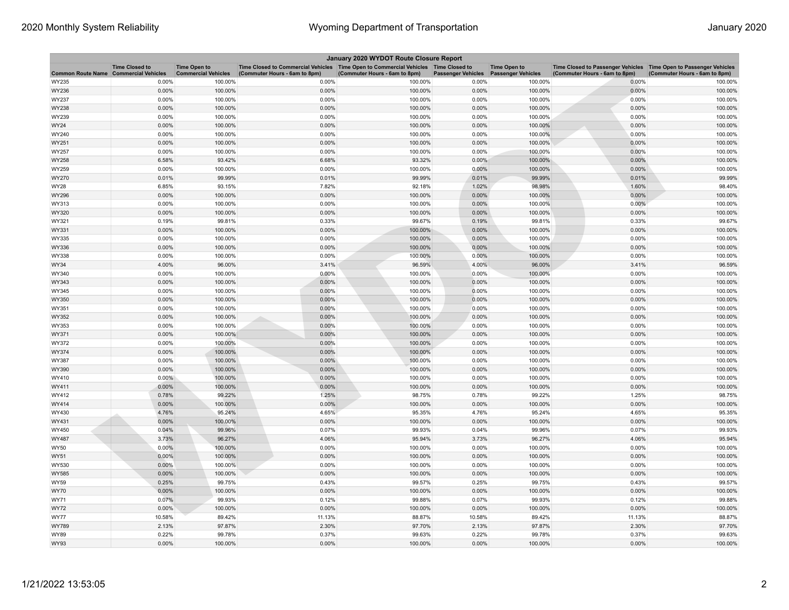| January 2020 WYDOT Route Closure Report |                                                     |                                                   |                                                                                                                         |                               |                           |                                                  |                                                                                                      |                               |  |
|-----------------------------------------|-----------------------------------------------------|---------------------------------------------------|-------------------------------------------------------------------------------------------------------------------------|-------------------------------|---------------------------|--------------------------------------------------|------------------------------------------------------------------------------------------------------|-------------------------------|--|
| <b>Common Route Name</b>                | <b>Time Closed to</b><br><b>Commercial Vehicles</b> | <b>Time Open to</b><br><b>Commercial Vehicles</b> | Time Closed to Commercial Vehicles   Time Open to Commercial Vehicles   Time Closed to<br>(Commuter Hours - 6am to 8pm) | (Commuter Hours - 6am to 8pm) | <b>Passenger Vehicles</b> | <b>Time Open to</b><br><b>Passenger Vehicles</b> | Time Closed to Passenger Vehicles   Time Open to Passenger Vehicles<br>(Commuter Hours - 6am to 8pm) | (Commuter Hours - 6am to 8pm) |  |
| WY235                                   | 0.00%                                               | 100.00%                                           | 0.00%                                                                                                                   | 100.00%                       | 0.00%                     | 100.00%                                          | 0.00%                                                                                                | 100.00%                       |  |
| WY236                                   | 0.00%                                               | 100.00%                                           | 0.00%                                                                                                                   | 100.00%                       | 0.00%                     | 100.00%                                          | 0.00%                                                                                                | 100.00%                       |  |
| WY237                                   | 0.00%                                               | 100.00%                                           | 0.00%                                                                                                                   | 100.00%                       | 0.00%                     | 100.00%                                          | 0.00%                                                                                                | 100.00%                       |  |
| WY238                                   | 0.00%                                               | 100.00%                                           | 0.00%                                                                                                                   | 100.00%                       | 0.00%                     | 100.00%                                          | 0.00%                                                                                                | 100.00%                       |  |
| WY239                                   | 0.00%                                               | 100.00%                                           | 0.00%                                                                                                                   | 100.00%                       | 0.00%                     | 100.00%                                          | 0.00%                                                                                                | 100.00%                       |  |
| WY24                                    | 0.00%                                               | 100.00%                                           | 0.00%                                                                                                                   | 100.00%                       | 0.00%                     | 100.00%                                          | 0.00%                                                                                                | 100.00%                       |  |
| WY240                                   | 0.00%                                               | 100.00%                                           | 0.00%                                                                                                                   | 100.00%                       | 0.00%                     | 100.00%                                          | 0.00%                                                                                                | 100.00%                       |  |
| WY251                                   | 0.00%                                               | 100.00%                                           | 0.00%                                                                                                                   | 100.00%                       | 0.00%                     | 100.00%                                          | 0.00%                                                                                                | 100.00%                       |  |
| WY257                                   | 0.00%                                               | 100.00%                                           | 0.00%                                                                                                                   | 100.00%                       | 0.00%                     | 100.00%                                          | 0.00%                                                                                                | 100.00%                       |  |
| WY258                                   | 6.58%                                               | 93.42%                                            | 6.68%                                                                                                                   | 93.32%                        | 0.00%                     | 100.00%                                          | 0.00%                                                                                                | 100.00%                       |  |
| WY259                                   | 0.00%                                               | 100.00%                                           | 0.00%                                                                                                                   | 100.00%                       | 0.00%                     | 100.00%                                          | 0.00%                                                                                                | 100.00%                       |  |
| WY270                                   | 0.01%                                               | 99.99%                                            | 0.01%                                                                                                                   | 99.99%                        | 0.01%                     | 99.99%                                           | 0.01%                                                                                                | 99.99%                        |  |
| WY28                                    | 6.85%                                               | 93.15%                                            | 7.82%                                                                                                                   | 92.18%                        | 1.02%                     | 98.98%                                           | 1.60%                                                                                                | 98.40%                        |  |
| WY296                                   | 0.00%                                               | 100.00%                                           | 0.00%                                                                                                                   | 100.00%                       | 0.00%                     | 100.00%                                          | 0.00%                                                                                                | 100.00%                       |  |
| WY313                                   | 0.00%                                               | 100.00%                                           | 0.00%                                                                                                                   | 100.00%                       | 0.00%                     | 100.00%                                          | 0.00%                                                                                                | 100.00%                       |  |
| WY320                                   | 0.00%                                               | 100.00%                                           | 0.00%                                                                                                                   | 100.00%                       | 0.00%                     | 100.00%                                          | 0.00%                                                                                                | 100.00%                       |  |
| WY321                                   | 0.19%                                               | 99.81%                                            | 0.33%                                                                                                                   | 99.67%                        | 0.19%                     | 99.81%                                           | 0.33%                                                                                                | 99.67%                        |  |
| WY331                                   | 0.00%                                               | 100.00%                                           | 0.00%                                                                                                                   | 100.00%                       | 0.00%                     | 100.00%                                          | 0.00%                                                                                                | 100.00%                       |  |
| WY335                                   | 0.00%                                               | 100.00%                                           | 0.00%                                                                                                                   | 100.00%                       | 0.00%                     | 100.00%                                          | 0.00%                                                                                                | 100.00%                       |  |
| WY336                                   | 0.00%                                               | 100.00%                                           | 0.00%                                                                                                                   | 100.00%                       | 0.00%                     | 100.00%                                          | 0.00%                                                                                                | 100.00%                       |  |
| WY338                                   | 0.00%                                               | 100.00%                                           | 0.00%                                                                                                                   | 100.00%                       | 0.00%                     | 100.00%                                          | 0.00%                                                                                                | 100.00%                       |  |
| WY34                                    | 4.00%                                               | 96.00%                                            | 3.41%                                                                                                                   | 96.59%                        | 4.00%                     | 96.00%                                           | 3.41%                                                                                                | 96.59%                        |  |
| WY340                                   | 0.00%                                               | 100.00%                                           | 0.00%                                                                                                                   | 100.00%                       | 0.00%                     | 100.00%                                          | 0.00%                                                                                                | 100.00%                       |  |
| WY343                                   | 0.00%                                               | 100.00%                                           | 0.00%                                                                                                                   | 100.00%                       | 0.00%                     | 100.00%                                          | 0.00%                                                                                                | 100.00%                       |  |
| WY345                                   | 0.00%                                               | 100.00%                                           | 0.00%                                                                                                                   | 100.00%                       | 0.00%                     | 100.00%                                          | 0.00%                                                                                                | 100.00%                       |  |
| WY350<br>WY351                          | 0.00%<br>0.00%                                      | 100.00%<br>100.00%                                | 0.00%<br>0.00%                                                                                                          | 100.00%<br>100.00%            | 0.00%<br>0.00%            | 100.00%<br>100.00%                               | 0.00%<br>0.00%                                                                                       | 100.00%<br>100.00%            |  |
| WY352                                   | 0.00%                                               | 100.00%                                           | 0.00%                                                                                                                   | 100.00%                       | 0.00%                     | 100.00%                                          | 0.00%                                                                                                | 100.00%                       |  |
| WY353                                   | 0.00%                                               | 100.00%                                           | 0.00%                                                                                                                   | 100.00%                       | 0.00%                     | 100.00%                                          | 0.00%                                                                                                | 100.00%                       |  |
| WY371                                   | 0.00%                                               | 100.00%                                           | 0.00%                                                                                                                   | 100.00%                       | 0.00%                     | 100.00%                                          | 0.00%                                                                                                | 100.00%                       |  |
| WY372                                   | 0.00%                                               | 100.00%                                           | 0.00%                                                                                                                   | 100.00%                       | 0.00%                     | 100.00%                                          | 0.00%                                                                                                | 100.00%                       |  |
| WY374                                   | 0.00%                                               | 100.00%                                           | 0.00%                                                                                                                   | 100.00%                       | 0.00%                     | 100.00%                                          | 0.00%                                                                                                | 100.00%                       |  |
| WY387                                   | 0.00%                                               | 100.00%                                           | 0.00%                                                                                                                   | 100.00%                       | 0.00%                     | 100.00%                                          | 0.00%                                                                                                | 100.00%                       |  |
| WY390                                   | 0.00%                                               | 100.00%                                           | 0.00%                                                                                                                   | 100.00%                       | 0.00%                     | 100.00%                                          | 0.00%                                                                                                | 100.00%                       |  |
| WY410                                   | $0.00\%$                                            | 100.00%                                           | 0.00%                                                                                                                   | 100.00%                       | 0.00%                     | 100.00%                                          | 0.00%                                                                                                | 100.00%                       |  |
| WY411                                   | 0.00%                                               | 100.00%                                           | 0.00%                                                                                                                   | 100.00%                       | 0.00%                     | 100.00%                                          | 0.00%                                                                                                | 100.00%                       |  |
| WY412                                   | 0.78%                                               | 99.22%                                            | 1.25%                                                                                                                   | 98.75%                        | 0.78%                     | 99.22%                                           | 1.25%                                                                                                | 98.75%                        |  |
| WY414                                   | 0.00%                                               | 100.00%                                           | 0.00%                                                                                                                   | 100.00%                       | 0.00%                     | 100.00%                                          | 0.00%                                                                                                | 100.00%                       |  |
| WY430                                   | 4.76%                                               | 95.24%                                            | 4.65%                                                                                                                   | 95.35%                        | 4.76%                     | 95.24%                                           | 4.65%                                                                                                | 95.35%                        |  |
| WY431                                   | 0.00%                                               | 100.00%                                           | 0.00%                                                                                                                   | 100.00%                       | 0.00%                     | 100.00%                                          | 0.00%                                                                                                | 100.00%                       |  |
| WY450                                   | 0.04%                                               | 99.96%                                            | 0.07%                                                                                                                   | 99.93%                        | 0.04%                     | 99.96%                                           | 0.07%                                                                                                | 99.93%                        |  |
| WY487                                   | 3.73%                                               | 96.27%                                            | 4.06%                                                                                                                   | 95.94%                        | 3.73%                     | 96.27%                                           | 4.06%                                                                                                | 95.94%                        |  |
| WY50                                    | 0.00%                                               | 100.00%                                           | 0.00%                                                                                                                   | 100.00%                       | 0.00%                     | 100.00%                                          | 0.00%                                                                                                | 100.00%                       |  |
| WY51                                    | 0.00%                                               | 100.00%                                           | 0.00%                                                                                                                   | 100.00%                       | 0.00%                     | 100.00%                                          | 0.00%                                                                                                | 100.00%                       |  |
| WY530                                   | 0.00%                                               | 100.00%                                           | 0.00%                                                                                                                   | 100.00%                       | 0.00%                     | 100.00%                                          | 0.00%                                                                                                | 100.00%                       |  |
| WY585                                   | 0.00%                                               | 100.00%                                           | 0.00%                                                                                                                   | 100.00%                       | 0.00%                     | 100.00%                                          | 0.00%                                                                                                | 100.00%                       |  |
| <b>WY59</b>                             | 0.25%                                               | 99.75%                                            | 0.43%                                                                                                                   | 99.57%                        | 0.25%                     | 99.75%                                           | 0.43%                                                                                                | 99.57%                        |  |
| WY70                                    | 0.00%                                               | 100.00%                                           | 0.00%                                                                                                                   | 100.00%                       | 0.00%                     | 100.00%                                          | 0.00%                                                                                                | 100.00%                       |  |
| WY71                                    | 0.07%                                               | 99.93%                                            | 0.12%                                                                                                                   | 99.88%                        | 0.07%                     | 99.93%                                           | 0.12%                                                                                                | 99.88%                        |  |
| <b>WY72</b>                             | 0.00%                                               | 100.00%                                           | 0.00%                                                                                                                   | 100.00%                       | 0.00%                     | 100.00%                                          | 0.00%                                                                                                | 100.00%                       |  |
| WY77                                    | 10.58%                                              | 89.42%                                            | 11.13%                                                                                                                  | 88.87%                        | 10.58%                    | 89.42%                                           | 11.13%                                                                                               | 88.87%                        |  |
| WY789                                   | 2.13%                                               | 97.87%                                            | 2.30%                                                                                                                   | 97.70%                        | 2.13%                     | 97.87%                                           | 2.30%                                                                                                | 97.70%                        |  |
| <b>WY89</b>                             | 0.22%                                               | 99.78%                                            | 0.37%                                                                                                                   | 99.63%                        | 0.22%                     | 99.78%                                           | 0.37%                                                                                                | 99.63%                        |  |
| WY93                                    | 0.00%                                               | 100.00%                                           | 0.00%                                                                                                                   | 100.00%                       | 0.00%                     | 100.00%                                          | 0.00%                                                                                                | 100.00%                       |  |